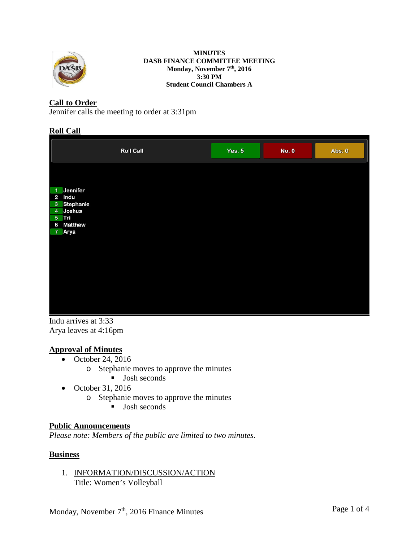

#### **MINUTES DASB FINANCE COMMITTEE MEETING Monday, November 7th, 2016 3:30 PM Student Council Chambers A**

## **Call to Order**

Jennifer calls the meeting to order at 3:31pm

### **Roll Call**

|                                                                                                                         | <b>Roll Call</b> | Yes: $5$ | No: 0 | Abs: 0 |
|-------------------------------------------------------------------------------------------------------------------------|------------------|----------|-------|--------|
| Jennifer<br>$\overline{1}$<br>$\mathbf{2}$<br>Indu<br>3 Stephanie<br>4 Joshua<br>5 Tri<br><b>Matthew</b><br>6<br>7 Arya |                  |          |       |        |
|                                                                                                                         |                  |          |       |        |

Indu arrives at 3:33 Arya leaves at 4:16pm

### **Approval of Minutes**

- October 24, 2016
	- o Stephanie moves to approve the minutes
		- **Josh seconds**
- October 31, 2016
	- o Stephanie moves to approve the minutes
		- **Josh seconds**

### **Public Announcements**

*Please note: Members of the public are limited to two minutes.* 

### **Business**

1. INFORMATION/DISCUSSION/ACTION Title: Women's Volleyball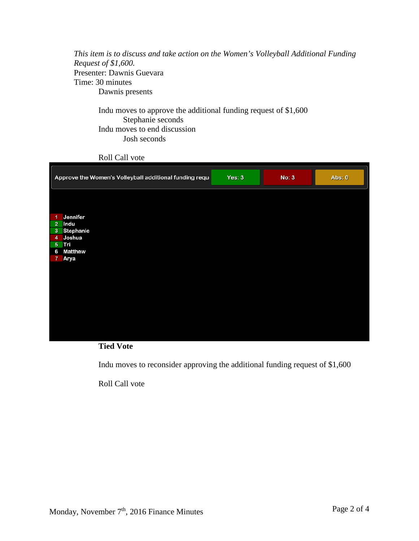*This item is to discuss and take action on the Women's Volleyball Additional Funding Request of \$1,600.* Presenter: Dawnis Guevara Time: 30 minutes Dawnis presents

Indu moves to approve the additional funding request of \$1,600 Stephanie seconds Indu moves to end discussion Josh seconds

Roll Call vote

| Approve the Women's Volleyball additional funding reque | Yes: 3 | No: 3 | Abs: 0 |
|---------------------------------------------------------|--------|-------|--------|
|                                                         |        |       |        |
| Jennifer<br>-1                                          |        |       |        |
| $\overline{2}$<br>Indu<br>3 Stephanie                   |        |       |        |
| Joshua<br>4                                             |        |       |        |
| 5 Tri                                                   |        |       |        |
| <b>Matthew</b><br>6                                     |        |       |        |
| Arya<br>7                                               |        |       |        |
|                                                         |        |       |        |
|                                                         |        |       |        |
|                                                         |        |       |        |
|                                                         |        |       |        |
|                                                         |        |       |        |
|                                                         |        |       |        |
|                                                         |        |       |        |
|                                                         |        |       |        |
|                                                         |        |       |        |
|                                                         |        |       |        |



Indu moves to reconsider approving the additional funding request of \$1,600

Roll Call vote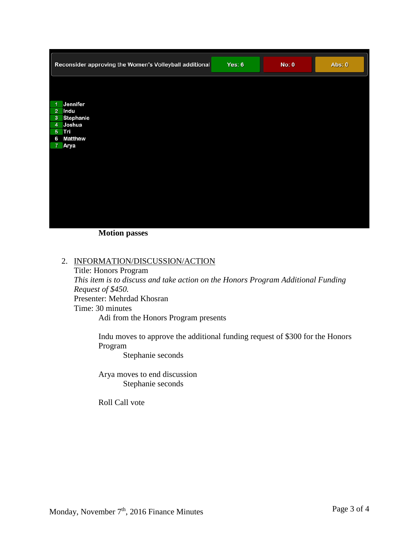| Reconsider approving the Women's Volleyball additional | Yes: $6$ | <b>No: 0</b> | Abs: 0 |
|--------------------------------------------------------|----------|--------------|--------|
|                                                        |          |              |        |
| Jennifer<br>$\overline{1}$                             |          |              |        |
| $\overline{2}$<br>Indu<br>Stephanie<br>3 <sup>2</sup>  |          |              |        |
| Joshua<br>4 <sup>1</sup>                               |          |              |        |
| 5 Tri                                                  |          |              |        |
| <b>Matthew</b><br>6                                    |          |              |        |
| Arya<br>$\overline{7}$                                 |          |              |        |
|                                                        |          |              |        |
|                                                        |          |              |        |
|                                                        |          |              |        |
|                                                        |          |              |        |
|                                                        |          |              |        |
|                                                        |          |              |        |
|                                                        |          |              |        |
|                                                        |          |              |        |
|                                                        |          |              |        |
|                                                        |          |              |        |

**Motion passes**

## 2. INFORMATION/DISCUSSION/ACTION

Title: Honors Program *This item is to discuss and take action on the Honors Program Additional Funding Request of \$450.* Presenter: Mehrdad Khosran Time: 30 minutes Adi from the Honors Program presents

Indu moves to approve the additional funding request of \$300 for the Honors Program

Stephanie seconds

Arya moves to end discussion Stephanie seconds

Roll Call vote